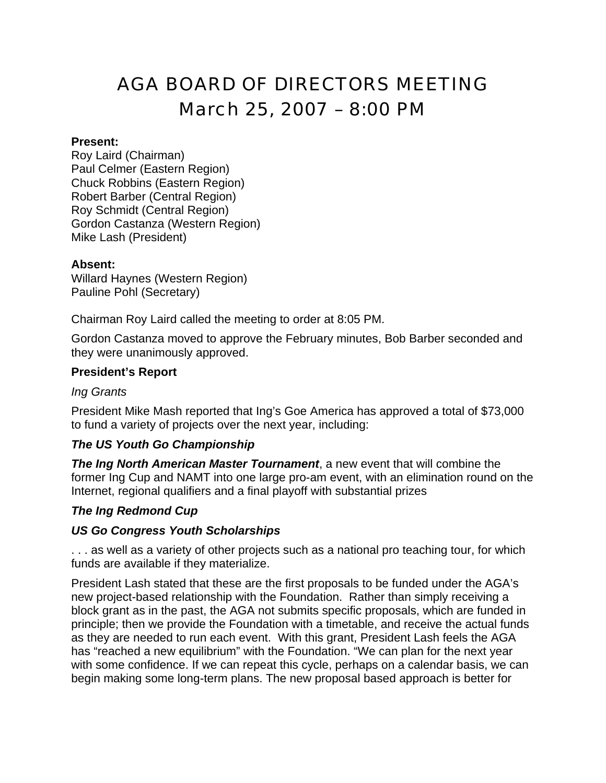# AGA BOARD OF DIRECTORS MEETING March 25, 2007 – 8:00 PM

#### **Present:**

Roy Laird (Chairman) Paul Celmer (Eastern Region) Chuck Robbins (Eastern Region) Robert Barber (Central Region) Roy Schmidt (Central Region) Gordon Castanza (Western Region) Mike Lash (President)

#### **Absent:**

Willard Haynes (Western Region) Pauline Pohl (Secretary)

Chairman Roy Laird called the meeting to order at 8:05 PM.

Gordon Castanza moved to approve the February minutes, Bob Barber seconded and they were unanimously approved.

#### **President's Report**

#### *Ing Grants*

President Mike Mash reported that Ing's Goe America has approved a total of \$73,000 to fund a variety of projects over the next year, including:

#### *The US Youth Go Championship*

*The Ing North American Master Tournament*, a new event that will combine the former Ing Cup and NAMT into one large pro-am event, with an elimination round on the Internet, regional qualifiers and a final playoff with substantial prizes

#### *The Ing Redmond Cup*

#### *US Go Congress Youth Scholarships*

. . . as well as a variety of other projects such as a national pro teaching tour, for which funds are available if they materialize.

President Lash stated that these are the first proposals to be funded under the AGA's new project-based relationship with the Foundation. Rather than simply receiving a block grant as in the past, the AGA not submits specific proposals, which are funded in principle; then we provide the Foundation with a timetable, and receive the actual funds as they are needed to run each event. With this grant, President Lash feels the AGA has "reached a new equilibrium" with the Foundation. "We can plan for the next year with some confidence. If we can repeat this cycle, perhaps on a calendar basis, we can begin making some long-term plans. The new proposal based approach is better for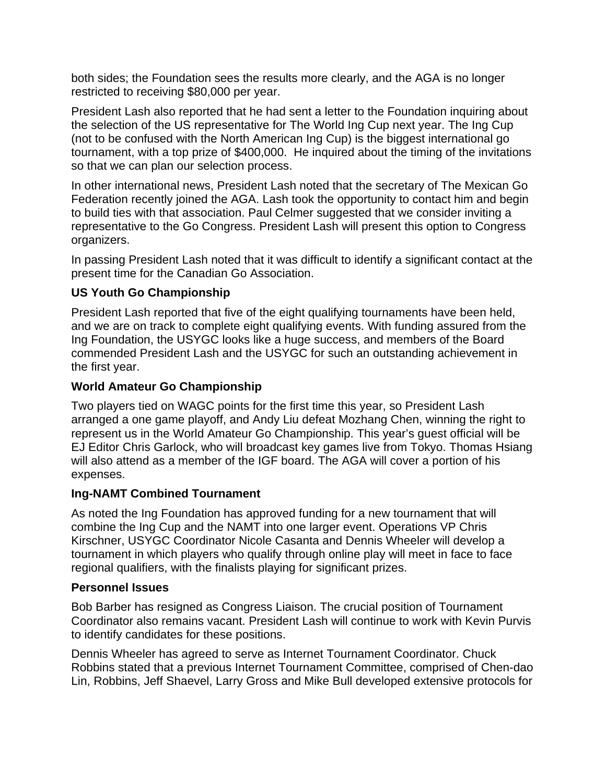both sides; the Foundation sees the results more clearly, and the AGA is no longer restricted to receiving \$80,000 per year.

President Lash also reported that he had sent a letter to the Foundation inquiring about the selection of the US representative for The World Ing Cup next year. The Ing Cup (not to be confused with the North American Ing Cup) is the biggest international go tournament, with a top prize of \$400,000. He inquired about the timing of the invitations so that we can plan our selection process.

In other international news, President Lash noted that the secretary of The Mexican Go Federation recently joined the AGA. Lash took the opportunity to contact him and begin to build ties with that association. Paul Celmer suggested that we consider inviting a representative to the Go Congress. President Lash will present this option to Congress organizers.

In passing President Lash noted that it was difficult to identify a significant contact at the present time for the Canadian Go Association.

## **US Youth Go Championship**

President Lash reported that five of the eight qualifying tournaments have been held, and we are on track to complete eight qualifying events. With funding assured from the Ing Foundation, the USYGC looks like a huge success, and members of the Board commended President Lash and the USYGC for such an outstanding achievement in the first year.

### **World Amateur Go Championship**

Two players tied on WAGC points for the first time this year, so President Lash arranged a one game playoff, and Andy Liu defeat Mozhang Chen, winning the right to represent us in the World Amateur Go Championship. This year's guest official will be EJ Editor Chris Garlock, who will broadcast key games live from Tokyo. Thomas Hsiang will also attend as a member of the IGF board. The AGA will cover a portion of his expenses.

#### **Ing-NAMT Combined Tournament**

As noted the Ing Foundation has approved funding for a new tournament that will combine the Ing Cup and the NAMT into one larger event. Operations VP Chris Kirschner, USYGC Coordinator Nicole Casanta and Dennis Wheeler will develop a tournament in which players who qualify through online play will meet in face to face regional qualifiers, with the finalists playing for significant prizes.

#### **Personnel Issues**

Bob Barber has resigned as Congress Liaison. The crucial position of Tournament Coordinator also remains vacant. President Lash will continue to work with Kevin Purvis to identify candidates for these positions.

Dennis Wheeler has agreed to serve as Internet Tournament Coordinator. Chuck Robbins stated that a previous Internet Tournament Committee, comprised of Chen-dao Lin, Robbins, Jeff Shaevel, Larry Gross and Mike Bull developed extensive protocols for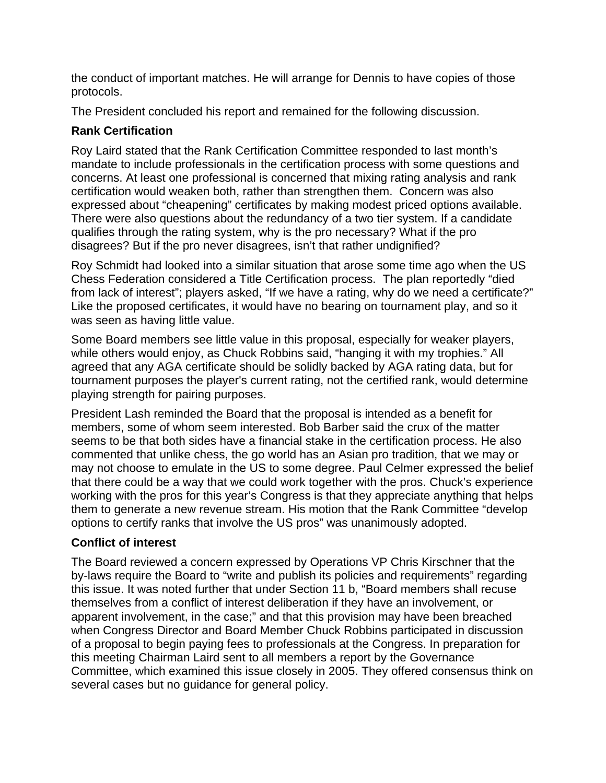the conduct of important matches. He will arrange for Dennis to have copies of those protocols.

The President concluded his report and remained for the following discussion.

# **Rank Certification**

Roy Laird stated that the Rank Certification Committee responded to last month's mandate to include professionals in the certification process with some questions and concerns. At least one professional is concerned that mixing rating analysis and rank certification would weaken both, rather than strengthen them. Concern was also expressed about "cheapening" certificates by making modest priced options available. There were also questions about the redundancy of a two tier system. If a candidate qualifies through the rating system, why is the pro necessary? What if the pro disagrees? But if the pro never disagrees, isn't that rather undignified?

Roy Schmidt had looked into a similar situation that arose some time ago when the US Chess Federation considered a Title Certification process. The plan reportedly "died from lack of interest"; players asked, "If we have a rating, why do we need a certificate?" Like the proposed certificates, it would have no bearing on tournament play, and so it was seen as having little value.

Some Board members see little value in this proposal, especially for weaker players, while others would enjoy, as Chuck Robbins said, "hanging it with my trophies." All agreed that any AGA certificate should be solidly backed by AGA rating data, but for tournament purposes the player's current rating, not the certified rank, would determine playing strength for pairing purposes.

President Lash reminded the Board that the proposal is intended as a benefit for members, some of whom seem interested. Bob Barber said the crux of the matter seems to be that both sides have a financial stake in the certification process. He also commented that unlike chess, the go world has an Asian pro tradition, that we may or may not choose to emulate in the US to some degree. Paul Celmer expressed the belief that there could be a way that we could work together with the pros. Chuck's experience working with the pros for this year's Congress is that they appreciate anything that helps them to generate a new revenue stream. His motion that the Rank Committee "develop options to certify ranks that involve the US pros" was unanimously adopted.

# **Conflict of interest**

The Board reviewed a concern expressed by Operations VP Chris Kirschner that the by-laws require the Board to "write and publish its policies and requirements" regarding this issue. It was noted further that under Section 11 b, "Board members shall recuse themselves from a conflict of interest deliberation if they have an involvement, or apparent involvement, in the case;" and that this provision may have been breached when Congress Director and Board Member Chuck Robbins participated in discussion of a proposal to begin paying fees to professionals at the Congress. In preparation for this meeting Chairman Laird sent to all members a report by the Governance Committee, which examined this issue closely in 2005. They offered consensus think on several cases but no guidance for general policy.